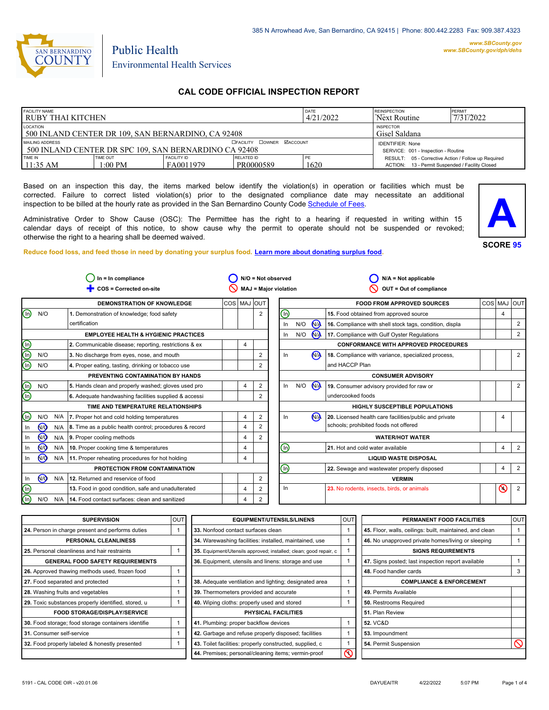

#### *www.SBCounty.gov [www.SBCounty.gov/dph/dehs](http://www.sbcounty.gov/dph/ehsportal)*

Public Health Environmental Health Services

# **CAL CODE OFFICIAL INSPECTION REPORT**

| <b>FACILITY NAME</b><br>l RUBY THAI KITCHEN                               |                     |                                                                | DATE<br>4/21/2022       | <b>REINSPECTION</b><br>Next Routine | PERMIT<br>7/31/2022                                                                                    |  |
|---------------------------------------------------------------------------|---------------------|----------------------------------------------------------------|-------------------------|-------------------------------------|--------------------------------------------------------------------------------------------------------|--|
| LOCATION<br>500 INLAND CENTER DR 109, SAN BERNARDINO, CA 92408            |                     | <b>INSPECTOR</b><br>Gisel Saldana                              |                         |                                     |                                                                                                        |  |
| MAILING ADDRESS<br>1500 INLAND CENTER DR SPC 109. SAN BERNARDINO CA 92408 |                     | <b>IDENTIFIER: None</b><br>SERVICE: 001 - Inspection - Routine |                         |                                     |                                                                                                        |  |
| TIME IN<br>11:35 AM                                                       | TIME OUT<br>1:00 PM | <b>FACILITY ID</b><br>FA0011979                                | RELATED ID<br>PR0000589 | ' PE<br>1620                        | RESULT: 05 - Corrective Action / Follow up Required<br>ACTION: 13 - Permit Suspended / Facility Closed |  |

Based on an inspection this day, the items marked below identify the violation(s) in operation or facilities which must be corrected. Failure to correct listed violation(s) prior to the designated compliance date may necessitate an additional inspection to be billed at the hourly rate as provided in the San Bernardino County Co[de Schedule of Fees.](https://codelibrary.amlegal.com/codes/sanbernardino/latest/sanberncty_ca/0-0-0-122474#JD_16.0213B)

Administrative Order to Show Cause (OSC): The Permittee has the right to a hearing if requested in writing within 15 calendar days of receipt of this notice, to show cause why the permit to operate should not be suspended or revoked; otherwise the right to a hearing shall be deemed waived.

**SCORE 95 A**

#### **Reduce food loss, and feed those in need by donating your surplus f[ood. Learn more about donating surplus food.](https://wp.sbcounty.gov/dph/programs/ehs/charitable-food-service/)**

| $In = In$ compliance<br>$N/O = Not observed$               |     |                                                               |                                             | $N/A = Not applicable$   |                                             |         |     |                |                                                         |  |         |                |
|------------------------------------------------------------|-----|---------------------------------------------------------------|---------------------------------------------|--------------------------|---------------------------------------------|---------|-----|----------------|---------------------------------------------------------|--|---------|----------------|
| COS = Corrected on-site<br>MAJ = Major violation           |     |                                                               | OUT = Out of compliance                     |                          |                                             |         |     |                |                                                         |  |         |                |
| COS   MAJ OUT<br><b>DEMONSTRATION OF KNOWLEDGE</b>         |     |                                                               |                                             |                          | <b>FOOD FROM APPROVED SOURCES</b>           | COS MAJ |     | <b>OUT</b>     |                                                         |  |         |                |
| N/O<br>ln)                                                 |     | 1. Demonstration of knowledge; food safety                    |                                             |                          | $\overline{2}$                              | ⑯       |     |                | 15. Food obtained from approved source                  |  | 4       |                |
|                                                            |     | certification                                                 |                                             |                          |                                             | In      | N/O | N <sub>/</sub> | 16. Compliance with shell stock tags, condition, displa |  |         | 2              |
| <b>EMPLOYEE HEALTH &amp; HYGIENIC PRACTICES</b>            |     | ln                                                            | N/O                                         | <b>N<sub>A</sub></b>     | 17. Compliance with Gulf Oyster Regulations |         |     | 2              |                                                         |  |         |                |
| 2. Communicable disease; reporting, restrictions & ex<br>4 |     |                                                               | <b>CONFORMANCE WITH APPROVED PROCEDURES</b> |                          |                                             |         |     |                |                                                         |  |         |                |
| N/O                                                        |     | 3. No discharge from eyes, nose, and mouth                    |                                             |                          | 2                                           | In      |     | N <sub>A</sub> | 18. Compliance with variance, specialized process,      |  |         | $\overline{2}$ |
| N/O                                                        |     | 4. Proper eating, tasting, drinking or tobacco use            |                                             |                          | 2                                           |         |     |                | and HACCP Plan                                          |  |         |                |
| PREVENTING CONTAMINATION BY HANDS                          |     |                                                               |                                             | <b>CONSUMER ADVISORY</b> |                                             |         |     |                |                                                         |  |         |                |
| N/O                                                        |     | 5. Hands clean and properly washed; gloves used pro           |                                             | 4                        | 2                                           | ln      | N/O | N <sub>/</sub> | 19. Consumer advisory provided for raw or               |  |         | $\overline{2}$ |
|                                                            |     | 6. Adequate handwashing facilities supplied & accessi         |                                             |                          |                                             |         |     |                | undercooked foods                                       |  |         |                |
| TIME AND TEMPERATURE RELATIONSHIPS                         |     |                                                               | HIGHLY SUSCEPTIBLE POPULATIONS              |                          |                                             |         |     |                |                                                         |  |         |                |
| N/O<br>ln)                                                 |     | N/A   7. Proper hot and cold holding temperatures             |                                             | 4                        | $\overline{2}$                              | In      |     | N <sub>1</sub> | 20. Licensed health care facilities/public and private  |  | 4       |                |
| N <sub>O</sub><br>ln.                                      |     | $N/A$ 8. Time as a public health control; procedures & record |                                             | 4                        | 2                                           |         |     |                | schools; prohibited foods not offered                   |  |         |                |
| <b>MO</b><br>ln.                                           |     | N/A 9. Proper cooling methods                                 |                                             | 4                        | 2                                           |         |     |                | <b>WATER/HOT WATER</b>                                  |  |         |                |
| <b>ඹ</b><br>In                                             | N/A | 10. Proper cooking time & temperatures                        |                                             | 4                        |                                             | (In)    |     |                | 21. Hot and cold water available                        |  | 4       | 2              |
| (ଜ)                                                        |     | N/A   11. Proper reheating procedures for hot holding         | <b>LIQUID WASTE DISPOSAL</b><br>4           |                          |                                             |         |     |                |                                                         |  |         |                |
| PROTECTION FROM CONTAMINATION                              |     | ⑯                                                             |                                             |                          | 22. Sewage and wastewater properly disposed |         | 4   | 2              |                                                         |  |         |                |
| N <sub>O</sub><br>In                                       | N/A | 12. Returned and reservice of food                            |                                             |                          | $\overline{\mathbf{c}}$                     |         |     |                | <b>VERMIN</b>                                           |  |         |                |
| ln)                                                        |     | 13. Food in good condition, safe and unadulterated            |                                             | 4                        | 2                                           | In      |     |                | 23. No rodents, insects, birds, or animals              |  | $\odot$ | $\overline{2}$ |
| N/O                                                        | N/A | 14. Food contact surfaces: clean and sanitized                |                                             | Δ                        | 2                                           |         |     |                |                                                         |  |         |                |
|                                                            |     |                                                               |                                             |                          |                                             |         |     |                |                                                         |  |         |                |

| <b>SUPERVISION</b>                                  | OUT | <b>EQUIPMENT/UTENSILS/LINENS</b>                                  | OUT | PERMANENT FOOD FACILITIES                                | <b>OUT</b> |
|-----------------------------------------------------|-----|-------------------------------------------------------------------|-----|----------------------------------------------------------|------------|
| 24. Person in charge present and performs duties    |     | 33. Nonfood contact surfaces clean                                |     | 45. Floor, walls, ceilings: built, maintained, and clean |            |
| PERSONAL CLEANLINESS                                |     | 34. Warewashing facilities: installed, maintained, use            |     | 46. No unapproved private homes/living or sleeping       |            |
| 25. Personal cleanliness and hair restraints        |     | 35. Equipment/Utensils approved; installed; clean; good repair, c |     | <b>SIGNS REQUIREMENTS</b>                                |            |
| <b>GENERAL FOOD SAFETY REQUIREMENTS</b>             |     | 36. Equipment, utensils and linens: storage and use               |     | 47. Signs posted; last inspection report available       |            |
| 26. Approved thawing methods used, frozen food      |     |                                                                   |     | 48. Food handler cards                                   | 3          |
| 27. Food separated and protected                    |     | 38. Adequate ventilation and lighting; designated area            |     | <b>COMPLIANCE &amp; ENFORCEMENT</b>                      |            |
| 28. Washing fruits and vegetables                   |     | 39. Thermometers provided and accurate                            |     | 49. Permits Available                                    |            |
| 29. Toxic substances properly identified, stored, u |     | 40. Wiping cloths: properly used and stored                       |     | 50. Restrooms Required                                   |            |
| <b>FOOD STORAGE/DISPLAY/SERVICE</b>                 |     | <b>PHYSICAL FACILITIES</b>                                        |     | 51. Plan Review                                          |            |
| 30. Food storage; food storage containers identifie |     | 41. Plumbing: proper backflow devices                             |     | <b>52. VC&amp;D</b>                                      |            |
| 31. Consumer self-service                           |     | 42. Garbage and refuse properly disposed; facilities              |     | 53. Impoundment                                          |            |
| 32. Food properly labeled & honestly presented      |     | 43. Toilet facilities: properly constructed, supplied, c          |     | 54. Permit Suspension                                    | ⋒          |
|                                                     |     | 44. Premises; personal/cleaning items; vermin-proof               | κ   |                                                          |            |
|                                                     |     |                                                                   |     |                                                          |            |

 $\bigcirc$ 

 $\overline{\mathbb{Q}}$  $\overline{\mathbb{O}}$ 

 $\bigcirc$ 

⊚  $\overline{\mathbb{Q}}$  $\bigcirc$ 

 $\overline{\mathbb{Q}}$  $\circledcirc$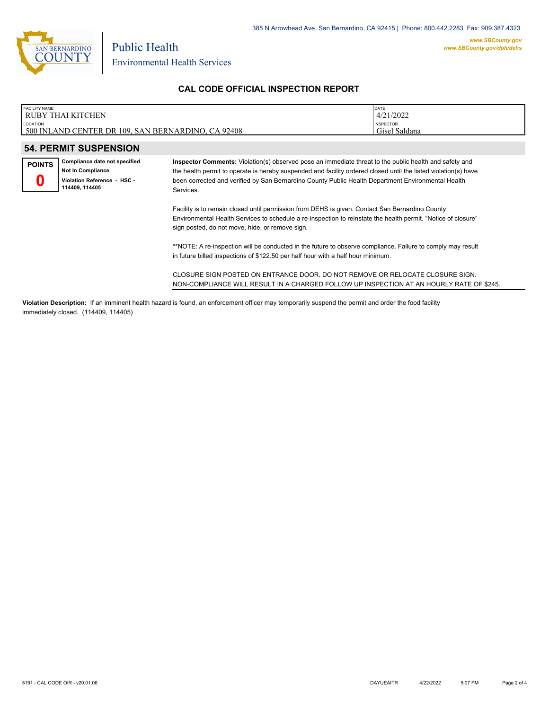

| <b>FACILITY NAME</b>                                                                                                                                     |                                                    | DATE             |  |  |  |
|----------------------------------------------------------------------------------------------------------------------------------------------------------|----------------------------------------------------|------------------|--|--|--|
| I RUBY THAI KITCHEN                                                                                                                                      |                                                    | 4/21/2022        |  |  |  |
| LOCATION                                                                                                                                                 |                                                    | <b>INSPECTOR</b> |  |  |  |
|                                                                                                                                                          | 500 INLAND CENTER DR 109, SAN BERNARDINO, CA 92408 | Gisel Saldana    |  |  |  |
|                                                                                                                                                          |                                                    |                  |  |  |  |
| <b>54. PERMIT SUSPENSION</b>                                                                                                                             |                                                    |                  |  |  |  |
| Compliance date not specified<br>Inspector Comments: Violation(s) observed pose an immediate threat to the public health and safety and<br><b>POINTS</b> |                                                    |                  |  |  |  |
| <b>Not In Compliance</b><br>the health nermit to operate is hereby suspended and facility ordered closed until the listed violation(s) have              |                                                    |                  |  |  |  |

**Violation Reference - HSC - 114409, 114405 0**

the health permit to operate is hereby suspended and facility ordered closed until the listed violation(s) have been corrected and verified by San Bernardino County Public Health Department Environmental Health Services.

Facility is to remain closed until permission from DEHS is given. Contact San Bernardino County Environmental Health Services to schedule a re-inspection to reinstate the health permit. "Notice of closure" sign posted, do not move, hide, or remove sign.

\*\*NOTE: A re-inspection will be conducted in the future to observe compliance. Failure to comply may result in future billed inspections of \$122.50 per half hour with a half hour minimum.

CLOSURE SIGN POSTED ON ENTRANCE DOOR. DO NOT REMOVE OR RELOCATE CLOSURE SIGN. NON-COMPLIANCE WILL RESULT IN A CHARGED FOLLOW UP INSPECTION AT AN HOURLY RATE OF \$245.

**Violation Description:** If an imminent health hazard is found, an enforcement officer may temporarily suspend the permit and order the food facility immediately closed. (114409, 114405)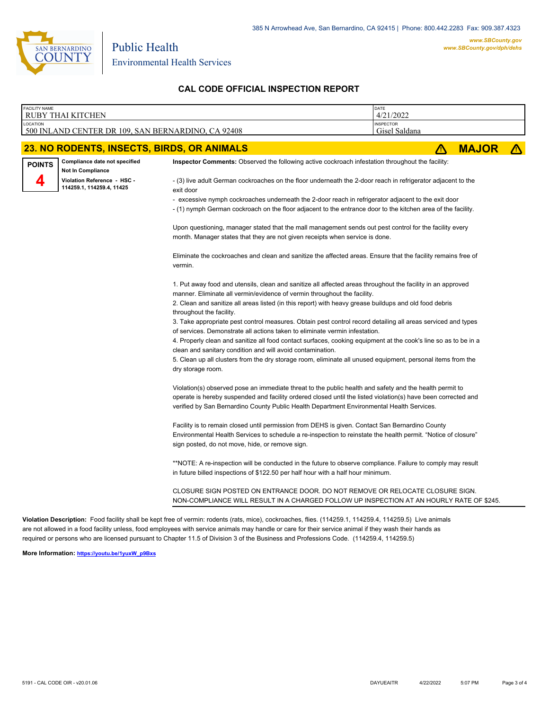

Environmental Health Services

Public Health

# **CAL CODE OFFICIAL INSPECTION REPORT**

| <b>FACILITY NAME</b> | <b>RUBY THAI KITCHEN</b>                                  | DATE<br>4/21/2022                                                                                                                                                                                                                                                                                                     |                                   |              |  |  |  |  |  |  |  |
|----------------------|-----------------------------------------------------------|-----------------------------------------------------------------------------------------------------------------------------------------------------------------------------------------------------------------------------------------------------------------------------------------------------------------------|-----------------------------------|--------------|--|--|--|--|--|--|--|
| LOCATION             | 500 INLAND CENTER DR 109, SAN BERNARDINO, CA 92408        |                                                                                                                                                                                                                                                                                                                       | <b>INSPECTOR</b><br>Gisel Saldana |              |  |  |  |  |  |  |  |
|                      | 23. NO RODENTS, INSECTS, BIRDS, OR ANIMALS                |                                                                                                                                                                                                                                                                                                                       | Λ                                 | <b>MAJOR</b> |  |  |  |  |  |  |  |
| <b>POINTS</b>        | Compliance date not specified<br><b>Not In Compliance</b> | Inspector Comments: Observed the following active cockroach infestation throughout the facility:                                                                                                                                                                                                                      |                                   |              |  |  |  |  |  |  |  |
|                      | Violation Reference - HSC -<br>114259.1, 114259.4, 11425  | - (3) live adult German cockroaches on the floor underneath the 2-door reach in refrigerator adjacent to the<br>exit door                                                                                                                                                                                             |                                   |              |  |  |  |  |  |  |  |
|                      |                                                           | - excessive nymph cockroaches underneath the 2-door reach in refrigerator adjacent to the exit door<br>- (1) nymph German cockroach on the floor adjacent to the entrance door to the kitchen area of the facility.                                                                                                   |                                   |              |  |  |  |  |  |  |  |
|                      |                                                           | Upon questioning, manager stated that the mall management sends out pest control for the facility every<br>month. Manager states that they are not given receipts when service is done.                                                                                                                               |                                   |              |  |  |  |  |  |  |  |
|                      |                                                           | Eliminate the cockroaches and clean and sanitize the affected areas. Ensure that the facility remains free of<br>vermin.                                                                                                                                                                                              |                                   |              |  |  |  |  |  |  |  |
|                      |                                                           | 1. Put away food and utensils, clean and sanitize all affected areas throughout the facility in an approved<br>manner. Eliminate all vermin/evidence of vermin throughout the facility.<br>2. Clean and sanitize all areas listed (in this report) with heavy grease buildups and old food debris                     |                                   |              |  |  |  |  |  |  |  |
|                      |                                                           | throughout the facility.<br>3. Take appropriate pest control measures. Obtain pest control record detailing all areas serviced and types<br>of services. Demonstrate all actions taken to eliminate vermin infestation.                                                                                               |                                   |              |  |  |  |  |  |  |  |
|                      |                                                           | 4. Properly clean and sanitize all food contact surfaces, cooking equipment at the cook's line so as to be in a<br>clean and sanitary condition and will avoid contamination.                                                                                                                                         |                                   |              |  |  |  |  |  |  |  |
|                      |                                                           | 5. Clean up all clusters from the dry storage room, eliminate all unused equipment, personal items from the<br>dry storage room.                                                                                                                                                                                      |                                   |              |  |  |  |  |  |  |  |
|                      |                                                           | Violation(s) observed pose an immediate threat to the public health and safety and the health permit to<br>operate is hereby suspended and facility ordered closed until the listed violation(s) have been corrected and<br>verified by San Bernardino County Public Health Department Environmental Health Services. |                                   |              |  |  |  |  |  |  |  |
|                      |                                                           | Facility is to remain closed until permission from DEHS is given. Contact San Bernardino County<br>Environmental Health Services to schedule a re-inspection to reinstate the health permit. "Notice of closure"<br>sign posted, do not move, hide, or remove sign.                                                   |                                   |              |  |  |  |  |  |  |  |
|                      |                                                           | *NOTE: A re-inspection will be conducted in the future to observe compliance. Failure to comply may result<br>in future billed inspections of \$122.50 per half hour with a half hour minimum.                                                                                                                        |                                   |              |  |  |  |  |  |  |  |
|                      |                                                           | CLOSURE SIGN POSTED ON ENTRANCE DOOR. DO NOT REMOVE OR RELOCATE CLOSURE SIGN.<br>NON-COMPLIANCE WILL RESULT IN A CHARGED FOLLOW UP INSPECTION AT AN HOURLY RATE OF \$245.                                                                                                                                             |                                   |              |  |  |  |  |  |  |  |

**Violation Description:** Food facility shall be kept free of vermin: rodents (rats, mice), cockroaches, flies. (114259.1, 114259.4, 114259.5) Live animals are not allowed in a food facility unless, food employees with service animals may handle or care for their service animal if they wash their hands as required or persons who are licensed pursuant to Chapter 11.5 of Division 3 of the Business and Professions Code. (114259.4, 114259.5)

**More Information: [https://youtu.be/1yuxW\\_p9Bxs](https://youtu.be/1yuxW_p9Bxs)**